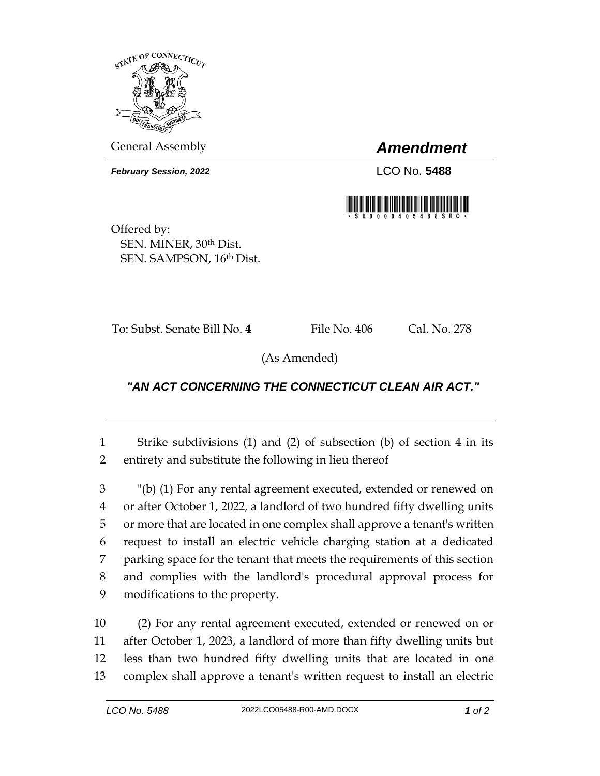

General Assembly *Amendment*

*February Session, 2022* LCO No. **5488**



Offered by: SEN. MINER, 30th Dist. SEN. SAMPSON, 16th Dist.

To: Subst. Senate Bill No. **4** File No. 406 Cal. No. 278

(As Amended)

## *"AN ACT CONCERNING THE CONNECTICUT CLEAN AIR ACT."*

1 Strike subdivisions (1) and (2) of subsection (b) of section 4 in its 2 entirety and substitute the following in lieu thereof

 "(b) (1) For any rental agreement executed, extended or renewed on or after October 1, 2022, a landlord of two hundred fifty dwelling units or more that are located in one complex shall approve a tenant's written request to install an electric vehicle charging station at a dedicated parking space for the tenant that meets the requirements of this section and complies with the landlord's procedural approval process for modifications to the property.

 (2) For any rental agreement executed, extended or renewed on or after October 1, 2023, a landlord of more than fifty dwelling units but less than two hundred fifty dwelling units that are located in one complex shall approve a tenant's written request to install an electric